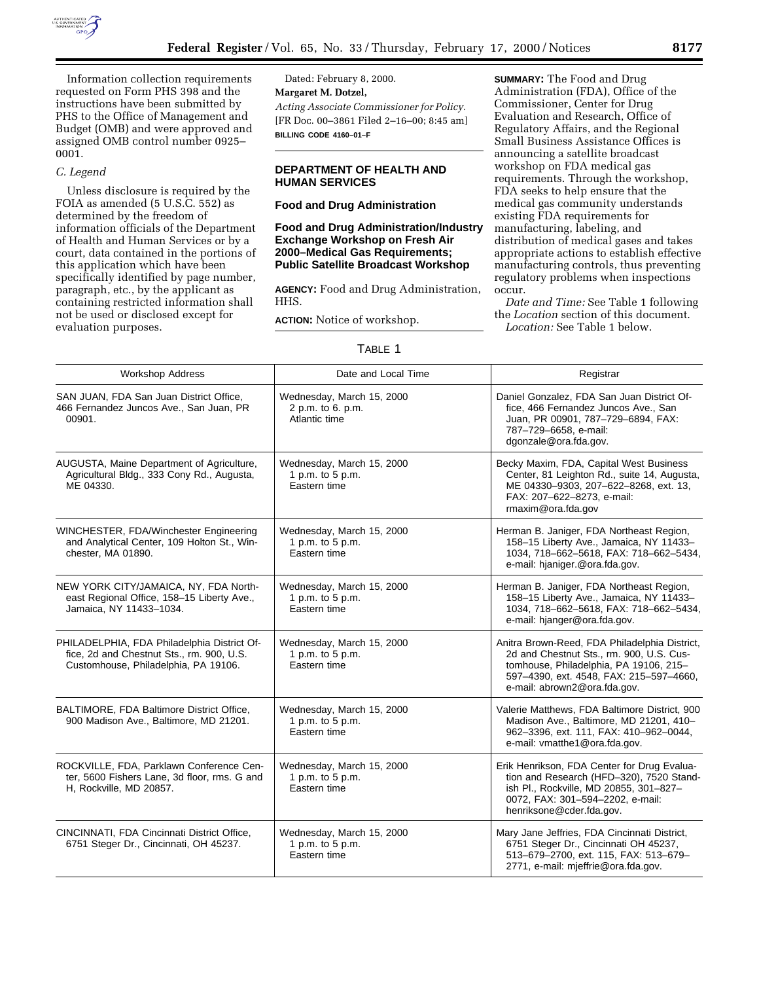

Information collection requirements requested on Form PHS 398 and the instructions have been submitted by PHS to the Office of Management and Budget (OMB) and were approved and assigned OMB control number 0925– 0001.

# *C. Legend*

Unless disclosure is required by the FOIA as amended (5 U.S.C. 552) as determined by the freedom of information officials of the Department of Health and Human Services or by a court, data contained in the portions of this application which have been specifically identified by page number, paragraph, etc., by the applicant as containing restricted information shall not be used or disclosed except for evaluation purposes.

Dated: February 8, 2000. **Margaret M. Dotzel,** *Acting Associate Commissioner for Policy.* [FR Doc. 00–3861 Filed 2–16–00; 8:45 am] **BILLING CODE 4160–01–F**

# **DEPARTMENT OF HEALTH AND HUMAN SERVICES**

#### **Food and Drug Administration**

# **Food and Drug Administration/Industry Exchange Workshop on Fresh Air 2000–Medical Gas Requirements; Public Satellite Broadcast Workshop**

**AGENCY:** Food and Drug Administration, HHS.

**ACTION:** Notice of workshop.

**SUMMARY:** The Food and Drug Administration (FDA), Office of the Commissioner, Center for Drug Evaluation and Research, Office of Regulatory Affairs, and the Regional Small Business Assistance Offices is announcing a satellite broadcast workshop on FDA medical gas requirements. Through the workshop, FDA seeks to help ensure that the medical gas community understands existing FDA requirements for manufacturing, labeling, and distribution of medical gases and takes appropriate actions to establish effective manufacturing controls, thus preventing regulatory problems when inspections occur.

*Date and Time:* See Table 1 following the *Location* section of this document. *Location:* See Table 1 below.

# TABLE 1

| <b>Workshop Address</b>                                                                                                          | Date and Local Time                                             | Registrar                                                                                                                                                                                                      |
|----------------------------------------------------------------------------------------------------------------------------------|-----------------------------------------------------------------|----------------------------------------------------------------------------------------------------------------------------------------------------------------------------------------------------------------|
| SAN JUAN, FDA San Juan District Office,<br>466 Fernandez Juncos Ave., San Juan, PR<br>00901.                                     | Wednesday, March 15, 2000<br>2 p.m. to 6. p.m.<br>Atlantic time | Daniel Gonzalez, FDA San Juan District Of-<br>fice, 466 Fernandez Juncos Ave., San<br>Juan, PR 00901, 787-729-6894, FAX:<br>787-729-6658, e-mail:<br>dgonzale@ora.fda.gov.                                     |
| AUGUSTA, Maine Department of Agriculture,<br>Agricultural Bldg., 333 Cony Rd., Augusta,<br>ME 04330.                             | Wednesday, March 15, 2000<br>1 p.m. to 5 p.m.<br>Eastern time   | Becky Maxim, FDA, Capital West Business<br>Center, 81 Leighton Rd., suite 14, Augusta,<br>ME 04330-9303, 207-622-8268, ext. 13,<br>FAX: 207-622-8273, e-mail:<br>rmaxim@ora.fda.gov                            |
| WINCHESTER, FDA/Winchester Engineering<br>and Analytical Center, 109 Holton St., Win-<br>chester, MA 01890.                      | Wednesday, March 15, 2000<br>1 p.m. to 5 p.m.<br>Eastern time   | Herman B. Janiger, FDA Northeast Region,<br>158-15 Liberty Ave., Jamaica, NY 11433-<br>1034, 718-662-5618, FAX: 718-662-5434,<br>e-mail: hjaniger.@ora.fda.gov.                                                |
| NEW YORK CITY/JAMAICA, NY, FDA North-<br>east Regional Office, 158-15 Liberty Ave.,<br>Jamaica, NY 11433-1034.                   | Wednesday, March 15, 2000<br>1 p.m. to 5 p.m.<br>Eastern time   | Herman B. Janiger, FDA Northeast Region,<br>158-15 Liberty Ave., Jamaica, NY 11433-<br>1034, 718-662-5618, FAX: 718-662-5434,<br>e-mail: hjanger@ora.fda.gov.                                                  |
| PHILADELPHIA, FDA Philadelphia District Of-<br>fice, 2d and Chestnut Sts., rm. 900, U.S.<br>Customhouse, Philadelphia, PA 19106. | Wednesday, March 15, 2000<br>1 p.m. to 5 p.m.<br>Eastern time   | Anitra Brown-Reed, FDA Philadelphia District,<br>2d and Chestnut Sts., rm. 900, U.S. Cus-<br>tomhouse, Philadelphia, PA 19106, 215-<br>597-4390, ext. 4548, FAX: 215-597-4660,<br>e-mail: abrown2@ora.fda.gov. |
| BALTIMORE, FDA Baltimore District Office,<br>900 Madison Ave., Baltimore, MD 21201.                                              | Wednesday, March 15, 2000<br>1 p.m. to 5 p.m.<br>Eastern time   | Valerie Matthews, FDA Baltimore District, 900<br>Madison Ave., Baltimore, MD 21201, 410-<br>962-3396, ext. 111, FAX: 410-962-0044,<br>e-mail: vmatthe1@ora.fda.gov.                                            |
| ROCKVILLE, FDA, Parklawn Conference Cen-<br>ter, 5600 Fishers Lane, 3d floor, rms. G and<br>H, Rockville, MD 20857.              | Wednesday, March 15, 2000<br>1 p.m. to 5 p.m.<br>Eastern time   | Erik Henrikson, FDA Center for Drug Evalua-<br>tion and Research (HFD-320), 7520 Stand-<br>ish Pl., Rockville, MD 20855, 301-827-<br>0072, FAX: 301-594-2202, e-mail:<br>henriksone@cder.fda.gov.              |
| CINCINNATI, FDA Cincinnati District Office,<br>6751 Steger Dr., Cincinnati, OH 45237.                                            | Wednesday, March 15, 2000<br>1 p.m. to 5 p.m.<br>Eastern time   | Mary Jane Jeffries, FDA Cincinnati District,<br>6751 Steger Dr., Cincinnati OH 45237,<br>513-679-2700, ext. 115, FAX: 513-679-<br>2771, e-mail: mjeffrie@ora.fda.gov.                                          |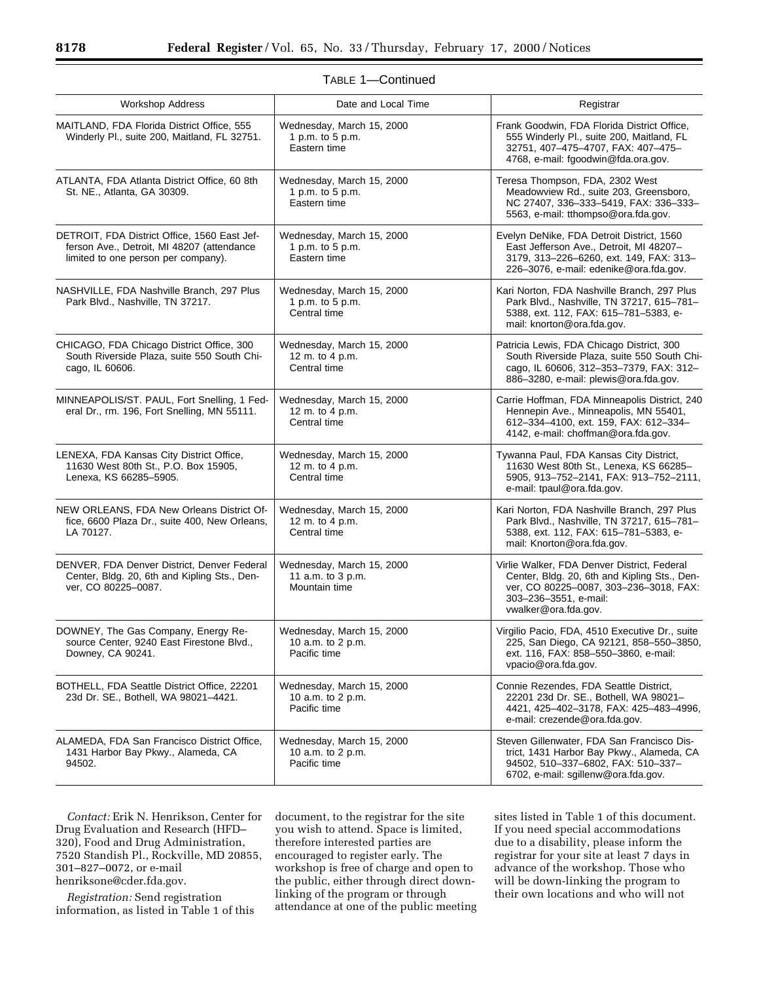| <b>Workshop Address</b>                                                                                                           | Date and Local Time                                             | Registrar                                                                                                                                                                              |  |
|-----------------------------------------------------------------------------------------------------------------------------------|-----------------------------------------------------------------|----------------------------------------------------------------------------------------------------------------------------------------------------------------------------------------|--|
| MAITLAND, FDA Florida District Office, 555<br>Winderly Pl., suite 200, Maitland, FL 32751.                                        | Wednesday, March 15, 2000<br>1 p.m. to 5 p.m.<br>Eastern time   | Frank Goodwin, FDA Florida District Office,<br>555 Winderly Pl., suite 200, Maitland, FL<br>32751, 407-475-4707, FAX: 407-475-<br>4768, e-mail: fgoodwin@fda.ora.gov.                  |  |
| ATLANTA, FDA Atlanta District Office, 60 8th<br>St. NE., Atlanta, GA 30309.                                                       | Wednesday, March 15, 2000<br>1 p.m. to 5 p.m.<br>Eastern time   | Teresa Thompson, FDA, 2302 West<br>Meadowview Rd., suite 203, Greensboro,<br>NC 27407, 336-333-5419, FAX: 336-333-<br>5563, e-mail: tthompso@ora.fda.gov.                              |  |
| DETROIT, FDA District Office, 1560 East Jef-<br>ferson Ave., Detroit, MI 48207 (attendance<br>limited to one person per company). | Wednesday, March 15, 2000<br>1 p.m. to 5 p.m.<br>Eastern time   | Evelyn DeNike, FDA Detroit District, 1560<br>East Jefferson Ave., Detroit, MI 48207-<br>3179, 313-226-6260, ext. 149, FAX: 313-<br>226-3076, e-mail: edenike@ora.fda.gov.              |  |
| NASHVILLE, FDA Nashville Branch, 297 Plus<br>Park Blvd., Nashville, TN 37217.                                                     | Wednesday, March 15, 2000<br>1 p.m. to 5 p.m.<br>Central time   | Kari Norton, FDA Nashville Branch, 297 Plus<br>Park Blvd., Nashville, TN 37217, 615-781-<br>5388, ext. 112, FAX: 615-781-5383, e-<br>mail: knorton@ora.fda.gov.                        |  |
| CHICAGO, FDA Chicago District Office, 300<br>South Riverside Plaza, suite 550 South Chi-<br>cago, IL 60606.                       | Wednesday, March 15, 2000<br>12 m. to 4 p.m.<br>Central time    | Patricia Lewis, FDA Chicago District, 300<br>South Riverside Plaza, suite 550 South Chi-<br>cago, IL 60606, 312-353-7379, FAX: 312-<br>886-3280, e-mail: plewis@ora.fda.gov.           |  |
| MINNEAPOLIS/ST. PAUL, Fort Snelling, 1 Fed-<br>eral Dr., rm. 196, Fort Snelling, MN 55111.                                        | Wednesday, March 15, 2000<br>12 m. to 4 p.m.<br>Central time    | Carrie Hoffman, FDA Minneapolis District, 240<br>Hennepin Ave., Minneapolis, MN 55401,<br>612-334-4100, ext. 159, FAX: 612-334-<br>4142, e-mail: choffman@ora.fda.gov.                 |  |
| LENEXA, FDA Kansas City District Office,<br>11630 West 80th St., P.O. Box 15905,<br>Lenexa, KS 66285-5905.                        | Wednesday, March 15, 2000<br>12 m. to 4 p.m.<br>Central time    | Tywanna Paul, FDA Kansas City District,<br>11630 West 80th St., Lenexa, KS 66285-<br>5905, 913-752-2141, FAX: 913-752-2111,<br>e-mail: tpaul@ora.fda.gov.                              |  |
| NEW ORLEANS, FDA New Orleans District Of-<br>fice, 6600 Plaza Dr., suite 400, New Orleans,<br>LA 70127.                           | Wednesday, March 15, 2000<br>12 m. to 4 p.m.<br>Central time    | Kari Norton, FDA Nashville Branch, 297 Plus<br>Park Blvd., Nashville, TN 37217, 615-781-<br>5388, ext. 112, FAX: 615-781-5383, e-<br>mail: Knorton@ora.fda.gov.                        |  |
| DENVER, FDA Denver District, Denver Federal<br>Center, Bldg. 20, 6th and Kipling Sts., Den-<br>ver, CO 80225-0087.                | Wednesday, March 15, 2000<br>11 a.m. to 3 p.m.<br>Mountain time | Virlie Walker, FDA Denver District, Federal<br>Center, Bldg. 20, 6th and Kipling Sts., Den-<br>ver, CO 80225-0087, 303-236-3018, FAX:<br>303-236-3551, e-mail:<br>vwalker@ora.fda.gov. |  |
| DOWNEY, The Gas Company, Energy Re-<br>source Center, 9240 East Firestone Blvd.,<br>Downey, CA 90241.                             | Wednesday, March 15, 2000<br>10 a.m. to 2 p.m.<br>Pacific time  | Virgilio Pacio, FDA, 4510 Executive Dr., suite<br>225, San Diego, CA 92121, 858-550-3850,<br>ext. 116, FAX: 858-550-3860, e-mail:<br>vpacio@ora.fda.gov.                               |  |
| BOTHELL, FDA Seattle District Office, 22201<br>23d Dr. SE., Bothell, WA 98021-4421.                                               | Wednesday, March 15, 2000<br>10 a.m. to 2 p.m.<br>Pacific time  | Connie Rezendes, FDA Seattle District,<br>22201 23d Dr. SE., Bothell, WA 98021-<br>4421, 425-402-3178, FAX: 425-483-4996,<br>e-mail: crezende@ora.fda.gov.                             |  |
| ALAMEDA, FDA San Francisco District Office,<br>1431 Harbor Bay Pkwy., Alameda, CA<br>94502.                                       | Wednesday, March 15, 2000<br>10 a.m. to 2 p.m.<br>Pacific time  | Steven Gillenwater, FDA San Francisco Dis-<br>trict, 1431 Harbor Bay Pkwy., Alameda, CA<br>94502, 510-337-6802, FAX: 510-337-<br>6702, e-mail: sgillenw@ora.fda.gov.                   |  |

| TABLE 1-Continued |  |  |  |
|-------------------|--|--|--|
|-------------------|--|--|--|

*Contact:* Erik N. Henrikson, Center for Drug Evaluation and Research (HFD– 320), Food and Drug Administration, 7520 Standish Pl., Rockville, MD 20855, 301–827–0072, or e-mail henriksone@cder.fda.gov.

*Registration:* Send registration information, as listed in Table 1 of this

document, to the registrar for the site you wish to attend. Space is limited, therefore interested parties are encouraged to register early. The workshop is free of charge and open to the public, either through direct downlinking of the program or through attendance at one of the public meeting

sites listed in Table 1 of this document. If you need special accommodations due to a disability, please inform the registrar for your site at least 7 days in advance of the workshop. Those who will be down-linking the program to their own locations and who will not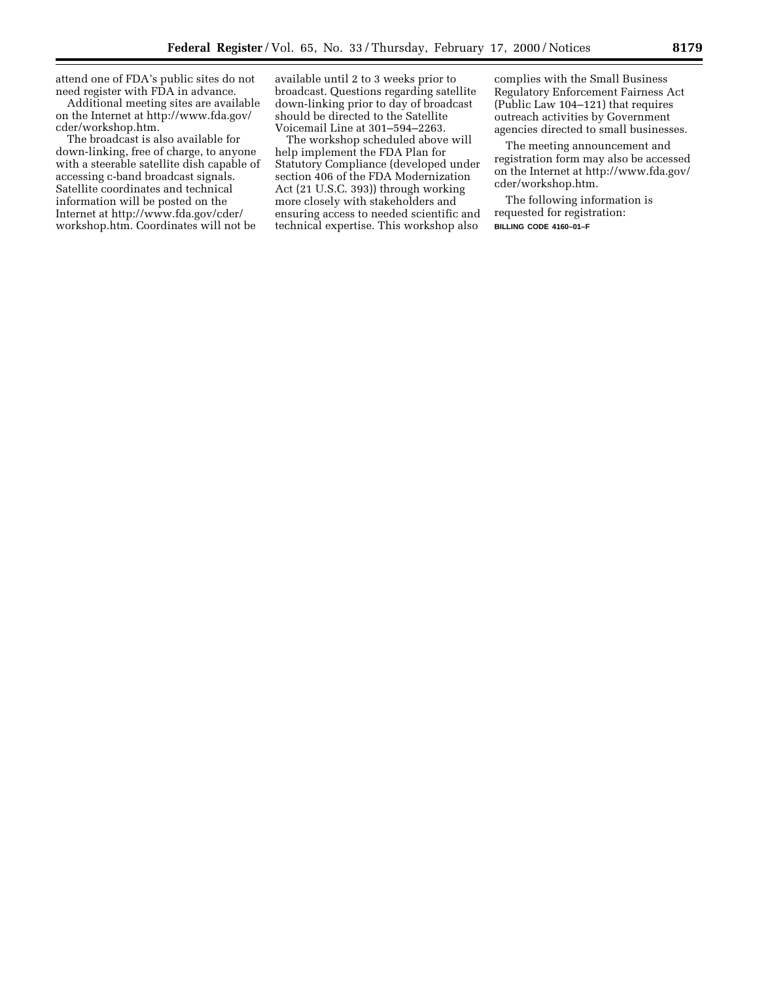attend one of FDA's public sites do not need register with FDA in advance.

Additional meeting sites are available on the Internet at http://www.fda.gov/ cder/workshop.htm.

The broadcast is also available for down-linking, free of charge, to anyone with a steerable satellite dish capable of accessing c-band broadcast signals. Satellite coordinates and technical information will be posted on the Internet at http://www.fda.gov/cder/ workshop.htm. Coordinates will not be

available until 2 to 3 weeks prior to broadcast. Questions regarding satellite down-linking prior to day of broadcast should be directed to the Satellite Voicemail Line at 301–594–2263.

The workshop scheduled above will help implement the FDA Plan for Statutory Compliance (developed under section 406 of the FDA Modernization Act (21 U.S.C. 393)) through working more closely with stakeholders and ensuring access to needed scientific and technical expertise. This workshop also

complies with the Small Business Regulatory Enforcement Fairness Act (Public Law 104–121) that requires outreach activities by Government agencies directed to small businesses.

The meeting announcement and registration form may also be accessed on the Internet at http://www.fda.gov/ cder/workshop.htm.

The following information is requested for registration: **BILLING CODE 4160–01–F**